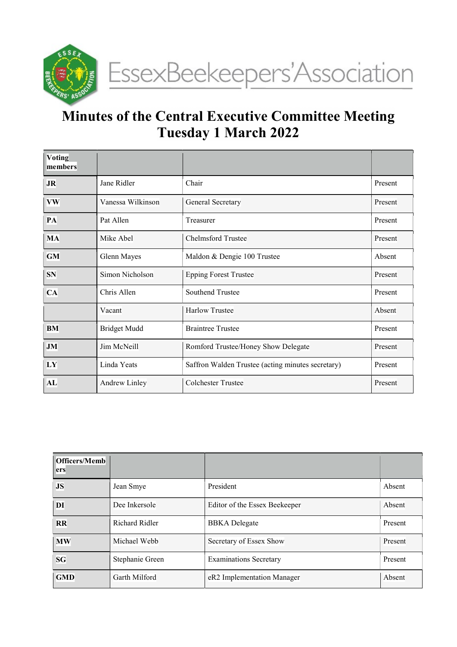

# Minutes of the Central Executive Committee Meeting Tuesday 1 March 2022

| <b>Voting</b><br>members |                      |                                                   |         |
|--------------------------|----------------------|---------------------------------------------------|---------|
| <b>JR</b>                | Chair<br>Jane Ridler |                                                   | Present |
| <b>VW</b>                | Vanessa Wilkinson    | General Secretary                                 |         |
| PA                       | Pat Allen            | Treasurer                                         |         |
| <b>MA</b>                | Mike Abel            | <b>Chelmsford Trustee</b>                         |         |
| <b>GM</b>                | Glenn Mayes          | Maldon & Dengie 100 Trustee                       | Absent  |
| <b>SN</b>                | Simon Nicholson      | <b>Epping Forest Trustee</b>                      |         |
| CA                       | Chris Allen          | Southend Trustee                                  | Present |
|                          | Vacant               | <b>Harlow Trustee</b>                             | Absent  |
| <b>BM</b>                | <b>Bridget Mudd</b>  | <b>Braintree Trustee</b>                          | Present |
| <b>JM</b>                | Jim McNeill          | Romford Trustee/Honey Show Delegate               | Present |
| LY                       | Linda Yeats          | Saffron Walden Trustee (acting minutes secretary) | Present |
| AL                       | <b>Andrew Linley</b> | <b>Colchester Trustee</b>                         | Present |

| <b>Officers/Memb</b><br>ers |                 |                               |         |
|-----------------------------|-----------------|-------------------------------|---------|
| <b>JS</b>                   | Jean Smye       | President                     | Absent  |
| DI                          | Dee Inkersole   | Editor of the Essex Beekeeper | Absent  |
| RR                          | Richard Ridler  | <b>BBKA</b> Delegate          | Present |
| <b>MW</b>                   | Michael Webb    | Secretary of Essex Show       | Present |
| <b>SG</b>                   | Stephanie Green | <b>Examinations Secretary</b> | Present |
| <b>GMD</b>                  | Garth Milford   | eR2 Implementation Manager    | Absent  |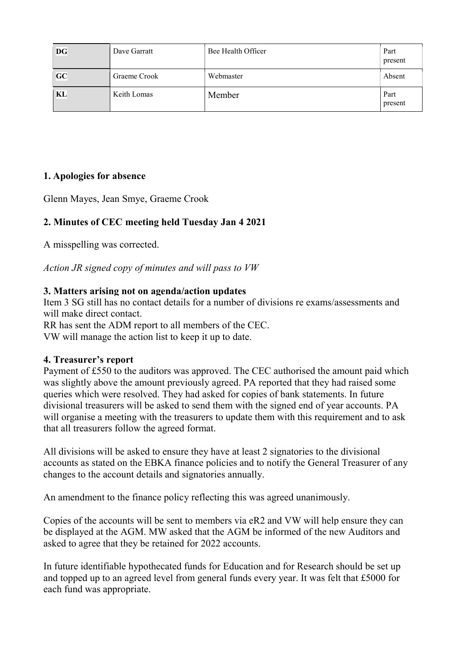| <b>DG</b> | Dave Garratt | Bee Health Officer | Part<br>present |
|-----------|--------------|--------------------|-----------------|
| GC        | Graeme Crook | Webmaster          | Absent          |
| KL        | Keith Lomas  | Member             | Part<br>present |

## 1. Apologies for absence

Glenn Mayes, Jean Smye, Graeme Crook

## 2. Minutes of CEC meeting held Tuesday Jan 4 2021

A misspelling was corrected.

Action JR signed copy of minutes and will pass to VW

#### 3. Matters arising not on agenda/action updates

Item 3 SG still has no contact details for a number of divisions re exams/assessments and will make direct contact.

RR has sent the ADM report to all members of the CEC. VW will manage the action list to keep it up to date.

#### 4. Treasurer's report

Payment of £550 to the auditors was approved. The CEC authorised the amount paid which was slightly above the amount previously agreed. PA reported that they had raised some queries which were resolved. They had asked for copies of bank statements. In future divisional treasurers will be asked to send them with the signed end of year accounts. PA will organise a meeting with the treasurers to update them with this requirement and to ask that all treasurers follow the agreed format.

All divisions will be asked to ensure they have at least 2 signatories to the divisional accounts as stated on the EBKA finance policies and to notify the General Treasurer of any changes to the account details and signatories annually.

An amendment to the finance policy reflecting this was agreed unanimously.

Copies of the accounts will be sent to members via eR2 and VW will help ensure they can be displayed at the AGM. MW asked that the AGM be informed of the new Auditors and asked to agree that they be retained for 2022 accounts.

In future identifiable hypothecated funds for Education and for Research should be set up and topped up to an agreed level from general funds every year. It was felt that £5000 for each fund was appropriate.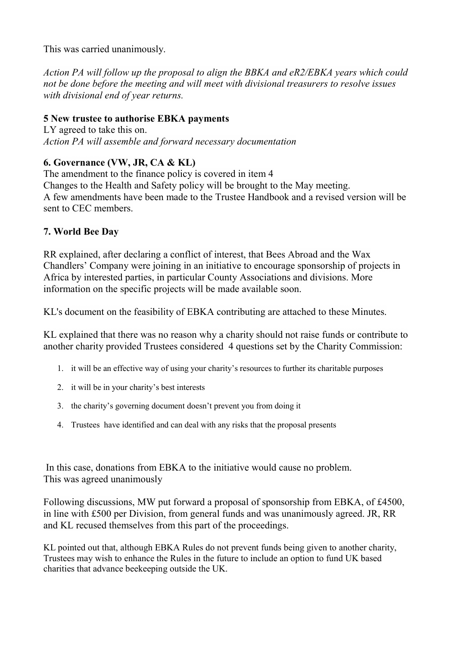This was carried unanimously.

Action PA will follow up the proposal to align the BBKA and eR2/EBKA years which could not be done before the meeting and will meet with divisional treasurers to resolve issues with divisional end of year returns.

## 5 New trustee to authorise EBKA payments

LY agreed to take this on. Action PA will assemble and forward necessary documentation

# 6. Governance (VW, JR, CA & KL)

The amendment to the finance policy is covered in item 4 Changes to the Health and Safety policy will be brought to the May meeting. A few amendments have been made to the Trustee Handbook and a revised version will be sent to CEC members.

# 7. World Bee Day

RR explained, after declaring a conflict of interest, that Bees Abroad and the Wax Chandlers' Company were joining in an initiative to encourage sponsorship of projects in Africa by interested parties, in particular County Associations and divisions. More information on the specific projects will be made available soon.

KL's document on the feasibility of EBKA contributing are attached to these Minutes.

KL explained that there was no reason why a charity should not raise funds or contribute to another charity provided Trustees considered 4 questions set by the Charity Commission:

- 1. it will be an effective way of using your charity's resources to further its charitable purposes
- 2. it will be in your charity's best interests
- 3. the charity's governing document doesn't prevent you from doing it
- 4. Trustees have identified and can deal with any risks that the proposal presents

 In this case, donations from EBKA to the initiative would cause no problem. This was agreed unanimously

Following discussions, MW put forward a proposal of sponsorship from EBKA, of £4500, in line with £500 per Division, from general funds and was unanimously agreed. JR, RR and KL recused themselves from this part of the proceedings.

KL pointed out that, although EBKA Rules do not prevent funds being given to another charity, Trustees may wish to enhance the Rules in the future to include an option to fund UK based charities that advance beekeeping outside the UK.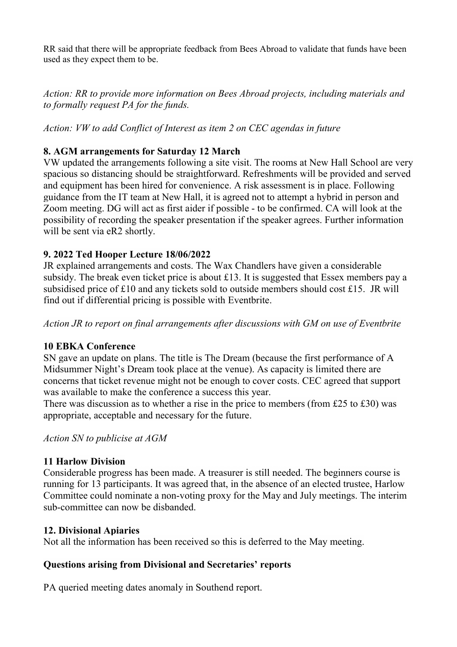RR said that there will be appropriate feedback from Bees Abroad to validate that funds have been used as they expect them to be.

Action: RR to provide more information on Bees Abroad projects, including materials and to formally request PA for the funds.

Action: VW to add Conflict of Interest as item 2 on CEC agendas in future

## 8. AGM arrangements for Saturday 12 March

VW updated the arrangements following a site visit. The rooms at New Hall School are very spacious so distancing should be straightforward. Refreshments will be provided and served and equipment has been hired for convenience. A risk assessment is in place. Following guidance from the IT team at New Hall, it is agreed not to attempt a hybrid in person and Zoom meeting. DG will act as first aider if possible - to be confirmed. CA will look at the possibility of recording the speaker presentation if the speaker agrees. Further information will be sent via eR2 shortly.

#### 9. 2022 Ted Hooper Lecture 18/06/2022

JR explained arrangements and costs. The Wax Chandlers have given a considerable subsidy. The break even ticket price is about £13. It is suggested that Essex members pay a subsidised price of £10 and any tickets sold to outside members should cost £15. JR will find out if differential pricing is possible with Eventbrite.

Action JR to report on final arrangements after discussions with GM on use of Eventbrite

## 10 EBKA Conference

SN gave an update on plans. The title is The Dream (because the first performance of A Midsummer Night's Dream took place at the venue). As capacity is limited there are concerns that ticket revenue might not be enough to cover costs. CEC agreed that support was available to make the conference a success this year.

There was discussion as to whether a rise in the price to members (from £25 to £30) was appropriate, acceptable and necessary for the future.

Action SN to publicise at AGM

## 11 Harlow Division

Considerable progress has been made. A treasurer is still needed. The beginners course is running for 13 participants. It was agreed that, in the absence of an elected trustee, Harlow Committee could nominate a non-voting proxy for the May and July meetings. The interim sub-committee can now be disbanded.

#### 12. Divisional Apiaries

Not all the information has been received so this is deferred to the May meeting.

## Questions arising from Divisional and Secretaries' reports

PA queried meeting dates anomaly in Southend report.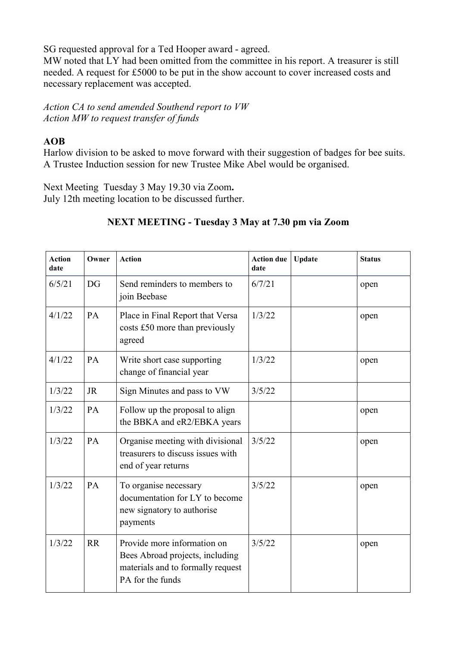SG requested approval for a Ted Hooper award - agreed.

MW noted that LY had been omitted from the committee in his report. A treasurer is still needed. A request for £5000 to be put in the show account to cover increased costs and necessary replacement was accepted.

Action CA to send amended Southend report to VW Action MW to request transfer of funds

#### AOB

Harlow division to be asked to move forward with their suggestion of badges for bee suits. A Trustee Induction session for new Trustee Mike Abel would be organised.

Next Meeting Tuesday 3 May 19.30 via Zoom. July 12th meeting location to be discussed further.

## NEXT MEETING - Tuesday 3 May at 7.30 pm via Zoom

| <b>Action</b><br>date | Owner     | <b>Action</b>                                                                                                           | <b>Action due</b><br>date | <b>Update</b> | <b>Status</b> |
|-----------------------|-----------|-------------------------------------------------------------------------------------------------------------------------|---------------------------|---------------|---------------|
| 6/5/21                | DG        | Send reminders to members to<br>join Beebase                                                                            | 6/7/21                    |               | open          |
| 4/1/22                | PA        | Place in Final Report that Versa<br>costs £50 more than previously<br>agreed                                            | 1/3/22                    |               | open          |
| 4/1/22                | PA        | Write short case supporting<br>change of financial year                                                                 | 1/3/22                    |               | open          |
| 1/3/22                | <b>JR</b> | Sign Minutes and pass to VW                                                                                             | 3/5/22                    |               |               |
| 1/3/22                | PA        | Follow up the proposal to align<br>the BBKA and eR2/EBKA years                                                          |                           |               | open          |
| 1/3/22                | PA        | Organise meeting with divisional<br>treasurers to discuss issues with<br>end of year returns                            | 3/5/22                    |               | open          |
| 1/3/22                | PA        | To organise necessary<br>documentation for LY to become<br>new signatory to authorise<br>payments                       | 3/5/22                    |               | open          |
| 1/3/22                | <b>RR</b> | Provide more information on<br>Bees Abroad projects, including<br>materials and to formally request<br>PA for the funds | 3/5/22                    |               | open          |